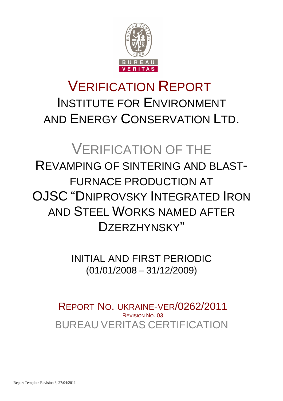

# VERIFICATION REPORT INSTITUTE FOR ENVIRONMENT AND ENERGY CONSERVATION LTD.

# VERIFICATION OF THE

# REVAMPING OF SINTERING AND BLAST-FURNACE PRODUCTION AT OJSC "DNIPROVSKY INTEGRATED IRON AND STEEL WORKS NAMED AFTER DZERZHYNSKY"

INITIAL AND FIRST PERIODIC (01/01/2008 – 31/12/2009)

BUREAU VERITAS CERTIFICATION REPORT NO. UKRAINE-VER/0262/2011 REVISION NO. 03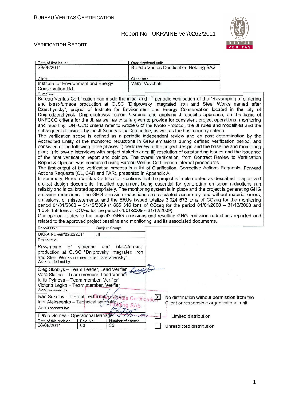

 $\overline{\phantom{a}}$ 

#### VERIFICATION REPORT

| Date of first issue:                                             |                        | Organizational unit:                                                                                                       |
|------------------------------------------------------------------|------------------------|----------------------------------------------------------------------------------------------------------------------------|
| 29/06/2011                                                       |                        | <b>Bureau Veritas Certification Holding SAS</b>                                                                            |
|                                                                  |                        |                                                                                                                            |
| Client:                                                          |                        | Client ref.:                                                                                                               |
| Institute for Environment and Energy                             |                        | Vasyl Vovchak                                                                                                              |
| Conservation Ltd.                                                |                        |                                                                                                                            |
| Summary:                                                         |                        |                                                                                                                            |
|                                                                  |                        | Bureau Veritas Certification has made the initial and 1 <sup>st</sup> periodic verification of the "Revamping of sintering |
|                                                                  |                        | and blast-furnace production at OJSC "Dniprovsky Integrated Iron and Steel Works named after                               |
|                                                                  |                        | Dzerzhynsky", project of Institute for Environment and Energy Conservation located in the city of                          |
|                                                                  |                        | Dniprodzerzhynsk, Dnipropetrovsk region, Ukraine, and applying JI specific approach, on the basis of                       |
|                                                                  |                        | UNFCCC criteria for the JI, as well as criteria given to provide for consistent project operations, monitoring             |
|                                                                  |                        |                                                                                                                            |
|                                                                  |                        | and reporting. UNFCCC criteria refer to Article 6 of the Kyoto Protocol, the JI rules and modalities and the               |
|                                                                  |                        | subsequent decisions by the JI Supervisory Committee, as well as the host country criteria.                                |
|                                                                  |                        | The verification scope is defined as a periodic independent review and ex post determination by the                        |
|                                                                  |                        | Accredited Entity of the monitored reductions in GHG emissions during defined verification period, and                     |
|                                                                  |                        | consisted of the following three phases: i) desk review of the project design and the baseline and monitoring              |
|                                                                  |                        | plan; ii) follow-up interviews with project stakeholders; iii) resolution of outstanding issues and the issuance           |
|                                                                  |                        | of the final verification report and opinion. The overall verification, from Contract Review to Verification               |
|                                                                  |                        | Report & Opinion, was conducted using Bureau Veritas Certification internal procedures.                                    |
|                                                                  |                        | The first output of the verification process is a list of Clarification, Corrective Actions Requests, Forward              |
| Actions Requests (CL, CAR and FAR), presented in Appendix A.     |                        |                                                                                                                            |
|                                                                  |                        | In summary, Bureau Veritas Certification confirms that the project is implemented as described in approved                 |
|                                                                  |                        | project design documents. Installed equipment being essential for generating emission reductions run                       |
|                                                                  |                        | reliably and is calibrated appropriately. The monitoring system is in place and the project is generating GHG              |
|                                                                  |                        | emission reductions. The GHG emission reductions are calculated accurately and without material errors,                    |
|                                                                  |                        | omissions, or misstatements, and the ERUs issued totalize 3 024 672 tons of CO2eq for the monitoring                       |
|                                                                  |                        | period 01/01/2008 - 31/12/2009 (1 665 516 tons of CO2eq for the period 01/01/2008 - 31/12/2008 and                         |
| 1 359 156 tons of CO2eq for the period 01/01/2009 - 31/12/2009). |                        |                                                                                                                            |
|                                                                  |                        | Our opinion relates to the project's GHG emissions and resulting GHG emission reductions reported and                      |
|                                                                  |                        | related to the approved project baseline and monitoring, and its associated documents.                                     |
| Report No.:                                                      | Subject Group:         |                                                                                                                            |
| UKRAINE-ver/0262/2011                                            | JI                     |                                                                                                                            |
| Project title:                                                   |                        |                                                                                                                            |
| Revamping<br>of<br>sintering                                     | and                    | blast-furnace                                                                                                              |
| production at OJSC "Dniprovsky Integrated Iron                   |                        |                                                                                                                            |
| and Steel Works named after Dzerzhynsky"                         |                        |                                                                                                                            |
| Work carried out by:                                             |                        |                                                                                                                            |
|                                                                  |                        |                                                                                                                            |
| Oleg Skoblyk - Team Leader, Lead Verifier                        |                        |                                                                                                                            |
| Vera Skitina - Team member, Lead Verifier                        |                        |                                                                                                                            |
| Iuliia Pylnova - Team member, Verifier                           |                        |                                                                                                                            |
| Victoria Legka - Team member, Verifier                           |                        |                                                                                                                            |
| Work reviewed by:                                                |                        |                                                                                                                            |
| Ivan Sokolov - Internal Technical Reviewers Certificatio         |                        | No distribution without permission from the                                                                                |
| Igor Alekseenko - Technical specialist                           |                        | Client or responsible organizational unit                                                                                  |
| Work approved by:                                                |                        |                                                                                                                            |
|                                                                  |                        |                                                                                                                            |
| Flavio Gomes - Operational Manager                               |                        | Limited distribution                                                                                                       |
|                                                                  |                        |                                                                                                                            |
| Date of this revision:<br>Rev. No.:<br>06/08/2011<br>03          | Number of pages:<br>35 | Unrestricted distribution                                                                                                  |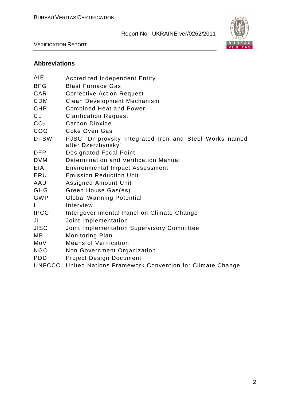

VERIFICATION REPORT

## **Abbreviations**

| AIE             | <b>Accredited Independent Entity</b>                                         |
|-----------------|------------------------------------------------------------------------------|
| <b>BFG</b>      | <b>Blast Furnace Gas</b>                                                     |
| CAR             | <b>Corrective Action Request</b>                                             |
| <b>CDM</b>      | <b>Clean Development Mechanism</b>                                           |
| <b>CHP</b>      | <b>Combined Heat and Power</b>                                               |
| <b>CL</b>       | <b>Clarification Request</b>                                                 |
| CO <sub>2</sub> | Carbon Dioxide                                                               |
| COG             | <b>Coke Oven Gas</b>                                                         |
| <b>DIISW</b>    | PJSC "Dniprovsky Integrated Iron and Steel Works named<br>after Dzerzhynsky" |
| <b>DFP</b>      | <b>Designated Focal Point</b>                                                |
| <b>DVM</b>      | Determination and Verification Manual                                        |
| EIA.            | <b>Environmental Impact Assessment</b>                                       |
| ERU             | <b>Emission Reduction Unit</b>                                               |
| AAU             | <b>Assigned Amount Unit</b>                                                  |
| <b>GHG</b>      | Green House Gas(es)                                                          |
| GWP             | <b>Global Warming Potential</b>                                              |
| $\mathsf{I}$    | Interview                                                                    |
| <b>IPCC</b>     | Intergovernmental Panel on Climate Change                                    |
| JI              | Joint Implementation                                                         |
| <b>JISC</b>     | Joint Implementation Supervisory Committee                                   |
| MP              | <b>Monitoring Plan</b>                                                       |
| MoV             | <b>Means of Verification</b>                                                 |
| <b>NGO</b>      | Non Government Organization                                                  |
| <b>PDD</b>      | <b>Project Design Document</b>                                               |
| <b>UNFCCC</b>   | United Nations Framework Convention for Climate Change                       |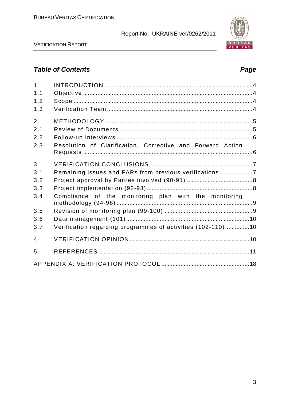

VERIFICATION REPORT

# **Table of Contents Page 2018**

| $\mathbf{1}$   |                                                             |  |
|----------------|-------------------------------------------------------------|--|
| 1.1            |                                                             |  |
| 1.2            |                                                             |  |
| 1.3            |                                                             |  |
| $\overline{2}$ |                                                             |  |
| 2.1            |                                                             |  |
|                |                                                             |  |
| 2.2            |                                                             |  |
| 2.3            | Resolution of Clarification, Corrective and Forward Action  |  |
|                |                                                             |  |
| 3              |                                                             |  |
| 3.1            | Remaining issues and FARs from previous verifications 7     |  |
| 3.2            |                                                             |  |
| 3.3            |                                                             |  |
| 3.4            | Compliance of the monitoring plan with the monitoring       |  |
| 3.5            |                                                             |  |
| 3.6            |                                                             |  |
| 3.7            | Verification regarding programmes of activities (102-110)10 |  |
| $\overline{4}$ |                                                             |  |
| 5              |                                                             |  |
|                |                                                             |  |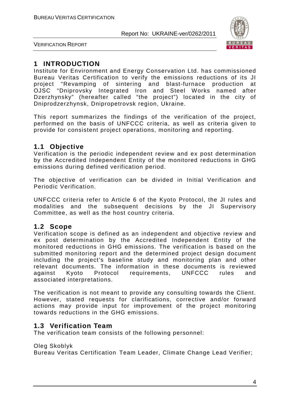

VERIFICATION REPORT

## **1 INTRODUCTION**

Institute for Environment and Energy Conservation Ltd. has commissioned Bureau Veritas Certification to verify the emissions reductions of its JI project "Revamping of sintering and blast-furnace production at OJSC "Dniprovsky Integrated Iron and Steel Works named after Dzerzhynsky" (hereafter called "the project") located in the city of Dniprodzerzhynsk, Dnipropetrovsk region, Ukraine.

This report summarizes the findings of the verification of the project, performed on the basis of UNFCCC criteria, as well as criteria given to provide for consistent project operations, monitoring and reporting.

## **1.1 Objective**

Verification is the periodic independent review and ex post determination by the Accredited Independent Entity of the monitored reductions in GHG emissions during defined verification period.

The objective of verification can be divided in Initial Verification and Periodic Verification.

UNFCCC criteria refer to Article 6 of the Kyoto Protocol, the JI rules and modalities and the subsequent decisions by the JI Supervisory Committee, as well as the host country criteria.

## **1.2 Scope**

Verification scope is defined as an independent and objective review and ex post determination by the Accredited Independent Entity of the monitored reductions in GHG emissions. The verification is based on the submitted monitoring report and the determined project design document including the project's baseline study and monitoring plan and other relevant documents. The information in these documents is reviewed against Kyoto Protocol requirements, UNFCCC rules and associated interpretations.

The verification is not meant to provide any consulting towards the Client. However, stated requests for clarifications, corrective and/or forward actions may provide input for improvement of the project monitoring towards reductions in the GHG emissions.

## **1.3 Verification Team**

The verification team consists of the following personnel:

Oleg Skoblyk

Bureau Veritas Certification Team Leader, Climate Change Lead Verifier;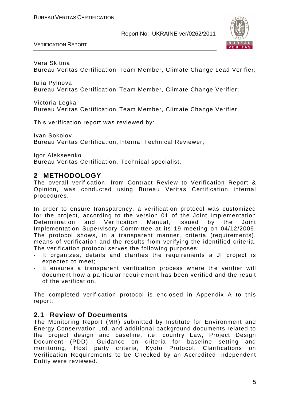

VERIFICATION REPORT

Vera Skitina

Bureau Veritas Certification Team Member, Climate Change Lead Verifier;

Iuiia Pylnova Bureau Veritas Certification Team Member, Climate Change Verifier;

Victoria Legka

Bureau Veritas Certification Team Member, Climate Change Verifier.

This verification report was reviewed by:

Ivan Sokolov Bureau Veritas Certification, Internal Technical Reviewer;

Igor Alekseenko

Bureau Veritas Certification, Technical specialist.

## **2 METHODOLOGY**

The overall verification, from Contract Review to Verification Report & Opinion, was conducted using Bureau Veritas Certification internal procedures.

In order to ensure transparency, a verification protocol was customized for the project, according to the version 01 of the Joint Implementation Determination and Verification Manual, issued by the Joint Implementation Supervisory Committee at its 19 meeting on 04/12/2009. The protocol shows, in a transparent manner, criteria (requirements), means of verification and the results from verifying the identified criteria. The verification protocol serves the following purposes:

- It organizes, details and clarifies the requirements a JI project is expected to meet;
- It ensures a transparent verification process where the verifier will document how a particular requirement has been verified and the result of the verification.

The completed verification protocol is enclosed in Appendix A to this report.

## **2.1 Review of Documents**

The Monitoring Report (MR) submitted by Institute for Environment and Energy Conservation Ltd. and additional background documents related to the project design and baseline, i.e. country Law, Project Design Document (PDD), Guidance on criteria for baseline setting and monitoring, Host party criteria, Kyoto Protocol, Clarifications on Verification Requirements to be Checked by an Accredited Independent Entity were reviewed.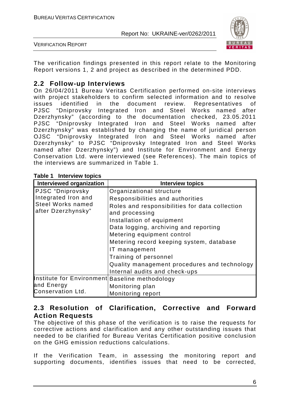

VERIFICATION REPORT

The verification findings presented in this report relate to the Monitoring Report versions 1, 2 and project as described in the determined PDD.

### **2.2 Follow-up Interviews**

On 26/04/2011 Bureau Veritas Certification performed on-site interviews with project stakeholders to confirm selected information and to resolve issues identified in the document review. Representatives of PJSC "Dniprovsky Integrated Iron and Steel Works named after Dzerzhynsky" (according to the documentation checked, 23.05.2011 PJSC "Dniprovsky Integrated Iron and Steel Works named after Dzerzhynsky" was established by changing the name of juridical person OJSC "Dniprovsky Integrated Iron and Steel Works named after Dzerzhynsky" to PJSC "Dniprovsky Integrated Iron and Steel Works named after Dzerzhynsky") and Institute for Environment and Energy Conservation Ltd. were interviewed (see References). The main topics of the interviews are summarized in Table 1.

| <b>Interviewed organization</b>                | <b>Interview topics</b>                                                       |
|------------------------------------------------|-------------------------------------------------------------------------------|
| PJSC "Dniprovsky                               | Organizational structure                                                      |
| Integrated Iron and                            | Responsibilities and authorities                                              |
| <b>Steel Works named</b><br>after Dzerzhynsky" | Roles and responsibilities for data collection<br>and processing              |
|                                                | Installation of equipment                                                     |
|                                                | Data logging, archiving and reporting                                         |
|                                                | Metering equipment control                                                    |
|                                                | Metering record keeping system, database                                      |
|                                                | IT management                                                                 |
|                                                | Training of personnel                                                         |
|                                                | Quality management procedures and technology<br>Internal audits and check-ups |
| Institute for Environment Baseline methodology |                                                                               |
| and Energy                                     | Monitoring plan                                                               |
| Conservation Ltd.                              | Monitoring report                                                             |

#### **Table 1 Interview topics**

### **2.3 Resolution of Clarification, Corrective and Forward Action Requests**

The objective of this phase of the verification is to raise the requests for corrective actions and clarification and any other outstanding issues that needed to be clarified for Bureau Veritas Certification positive conclusion on the GHG emission reductions calculations.

If the Verification Team, in assessing the monitoring report and supporting documents, identifies issues that need to be corrected,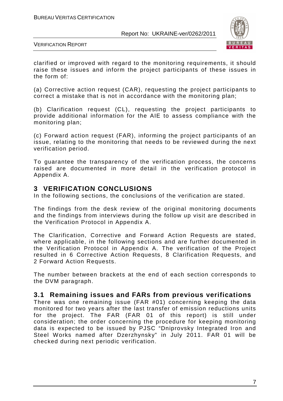

VERIFICATION REPORT

clarified or improved with regard to the monitoring requirements, it should raise these issues and inform the project participants of these issues in the form of:

(a) Corrective action request (CAR), requesting the project participants to correct a mistake that is not in accordance with the monitoring plan;

(b) Clarification request (CL), requesting the project participants to provide additional information for the AIE to assess compliance with the monitoring plan;

(c) Forward action request (FAR), informing the project participants of an issue, relating to the monitoring that needs to be reviewed during the next verification period.

To guarantee the transparency of the verification process, the concerns raised are documented in more detail in the verification protocol in Appendix A.

#### **3 VERIFICATION CONCLUSIONS**

In the following sections, the conclusions of the verification are stated.

The findings from the desk review of the original monitoring documents and the findings from interviews during the follow up visit are described in the Verification Protocol in Appendix A.

The Clarification, Corrective and Forward Action Requests are stated, where applicable, in the following sections and are further documented in the Verification Protocol in Appendix A. The verification of the Project resulted in 6 Corrective Action Requests, 8 Clarification Requests, and 2 Forward Action Requests.

The number between brackets at the end of each section corresponds to the DVM paragraph.

#### **3.1 Remaining issues and FARs from previous verifications**

There was one remaining issue (FAR #01) concerning keeping the data monitored for two years after the last transfer of emission reductions units for the project. The FAR (FAR 01 of this report) is still under consideration; the order concerning the procedure for keeping monitoring data is expected to be issued by PJSC "Dniprovsky Integrated Iron and Steel Works named after Dzerzhynsky" in July 2011. FAR 01 will be checked during next periodic verification.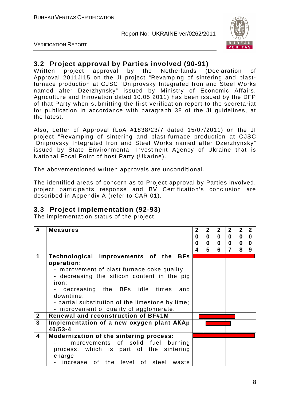

VERIFICATION REPORT

# **3.2 Project approval by Parties involved (90-91)**

Written project approval by the Netherlands (Declaration of Approval 2011JI15 on the JI project "Revamping of sintering and blastfurnace production at OJSC "Dniprovsky Integrated Iron and Steel Works named after Dzerzhynsky" issued by Ministry of Economic Affairs, Agriculture and Innovation dated 10.05.2011) has been issued by the DFP of that Party when submitting the first verification report to the secretariat for publication in accordance with paragraph 38 of the JI guidelines, at the latest.

Also, Letter of Approval (LoA #1838/23/7 dated 15/07/2011) on the JI project "Revamping of sintering and blast-furnace production at OJSC "Dniprovsky Integrated Iron and Steel Works named after Dzerzhynsky" issued by State Environmental Investment Agency of Ukraine that is National Focal Point of host Party (Ukarine).

The abovementioned written approvals are unconditional.

The identified areas of concern as to Project approval by Parties involved, project participants response and BV Certification's conclusion are described in Appendix A (refer to CAR 01).

## **3.3 Project implementation (92-93)**

The implementation status of the project.

| #                       | <b>Measures</b>                                  | $\mathbf{2}$<br>$\bf{0}$<br>0 | $\mathbf{2}$<br>$\mathbf{0}$<br>$\mathbf 0$ | $\mathbf{2}$<br>$\bf{0}$<br>$\mathbf{0}$ | $2^{\circ}$<br>$\bf{0}$<br>$\mathbf 0$ | 2 <sup>1</sup><br>$\mathbf 0$<br>$\mathbf 0$ | $\overline{2}$<br>$\mathbf 0$<br>$\bf{0}$ |
|-------------------------|--------------------------------------------------|-------------------------------|---------------------------------------------|------------------------------------------|----------------------------------------|----------------------------------------------|-------------------------------------------|
|                         |                                                  | 4                             | 5                                           | 6                                        | $\overline{7}$                         | 8                                            | 9                                         |
| 1                       | Technological improvements of the BFs            |                               |                                             |                                          |                                        |                                              |                                           |
|                         | operation:                                       |                               |                                             |                                          |                                        |                                              |                                           |
|                         | - improvement of blast furnace coke quality;     |                               |                                             |                                          |                                        |                                              |                                           |
|                         | - decreasing the silicon content in the pig      |                               |                                             |                                          |                                        |                                              |                                           |
|                         | iron;                                            |                               |                                             |                                          |                                        |                                              |                                           |
|                         | - decreasing the BFs idle times<br>and           |                               |                                             |                                          |                                        |                                              |                                           |
|                         | downtime;                                        |                               |                                             |                                          |                                        |                                              |                                           |
|                         | - partial substitution of the limestone by lime; |                               |                                             |                                          |                                        |                                              |                                           |
|                         | - improvement of quality of agglomerate.         |                               |                                             |                                          |                                        |                                              |                                           |
| $\boldsymbol{2}$        | Renewal and reconstruction of BF#1M              |                               |                                             |                                          |                                        |                                              |                                           |
| $\overline{3}$          | Implementation of a new oxygen plant AKAp        |                               |                                             |                                          |                                        |                                              |                                           |
|                         | $40/53 - 4$                                      |                               |                                             |                                          |                                        |                                              |                                           |
| $\overline{\mathbf{4}}$ | Modernization of the sintering process:          |                               |                                             |                                          |                                        |                                              |                                           |
|                         | improvements of solid fuel burning               |                               |                                             |                                          |                                        |                                              |                                           |
|                         | process, which is part of the sintering          |                               |                                             |                                          |                                        |                                              |                                           |
|                         | charge;                                          |                               |                                             |                                          |                                        |                                              |                                           |
|                         | increase of the level of steel waste             |                               |                                             |                                          |                                        |                                              |                                           |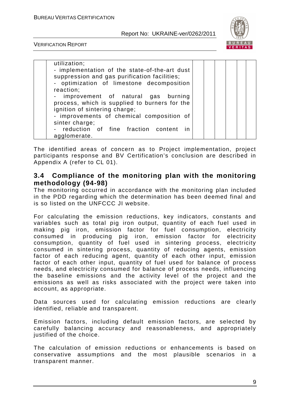

VERIFICATION REPORT

| utilization;<br>reaction;      | - implementation of the state-of-the-art dust<br>suppression and gas purification facilities;<br>- optimization of limestone decomposition<br>- improvement of natural gas burning<br>process, which is supplied to burners for the<br>ignition of sintering charge;<br>- improvements of chemical composition of |  |  |
|--------------------------------|-------------------------------------------------------------------------------------------------------------------------------------------------------------------------------------------------------------------------------------------------------------------------------------------------------------------|--|--|
| sinter charge;<br>agglomerate. | - reduction of fine fraction content in                                                                                                                                                                                                                                                                           |  |  |

The identified areas of concern as to Project implementation, project participants response and BV Certification's conclusion are described in Appendix A (refer to CL 01).

#### **3.4 Compliance of the monitoring plan with the monitoring methodology (94-98)**

The monitoring occurred in accordance with the monitoring plan included in the PDD regarding which the determination has been deemed final and is so listed on the UNFCCC JI website.

For calculating the emission reductions, key indicators, constants and variables such as total pig iron output, quantity of each fuel used in making pig iron, emission factor for fuel consumption, electricity consumed in producing pig iron, emission factor for electricity consumption, quantity of fuel used in sintering process, electricity consumed in sintering process, quantity of reducing agents, emission factor of each reducing agent, quantity of each other input, emission factor of each other input, quantity of fuel used for balance of process needs, and electricity consumed for balance of process needs, influencing the baseline emissions and the activity level of the project and the emissions as well as risks associated with the project were taken into account, as appropriate.

Data sources used for calculating emission reductions are clearly identified, reliable and transparent.

Emission factors, including default emission factors, are selected by carefully balancing accuracy and reasonableness, and appropriately justified of the choice.

The calculation of emission reductions or enhancements is based on conservative assumptions and the most plausible scenarios in a transparent manner.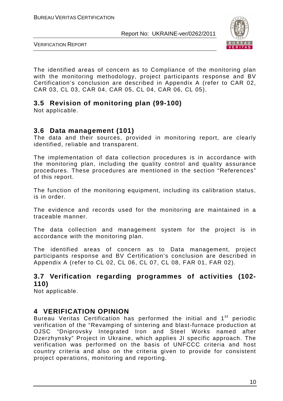

VERIFICATION REPORT

The identified areas of concern as to Compliance of the monitoring plan with the monitoring methodology, project participants response and BV Certification's conclusion are described in Appendix A (refer to CAR 02, CAR 03, CL 03, CAR 04, CAR 05, CL 04, CAR 06, CL 05).

# **3.5 Revision of monitoring plan (99-100)**

Not applicable.

### **3.6 Data management (101)**

The data and their sources, provided in monitoring report, are clearly identified, reliable and transparent.

The implementation of data collection procedures is in accordance with the monitoring plan, including the quality control and quality assurance procedures. These procedures are mentioned in the section "References" of this report.

The function of the monitoring equipment, including its calibration status, is in order.

The evidence and records used for the monitoring are maintained in a traceable manner.

The data collection and management system for the project is in accordance with the monitoring plan.

The identified areas of concern as to Data management, project participants response and BV Certification's conclusion are described in Appendix A (refer to CL 02, CL 06, CL 07, CL 08, FAR 01, FAR 02).

# **3.7 Verification regarding programmes of activities (102- 110)**

Not applicable.

## **4 VERIFICATION OPINION**

Bureau Veritas Certification has performed the initial and 1<sup>st</sup> periodic verification of the "Revamping of sintering and blast-furnace production at OJSC "Dniprovsky Integrated Iron and Steel Works named after Dzerzhynsky" Project in Ukraine, which applies JI specific approach. The verification was performed on the basis of UNFCCC criteria and host country criteria and also on the criteria given to provide for consistent project operations, monitoring and reporting.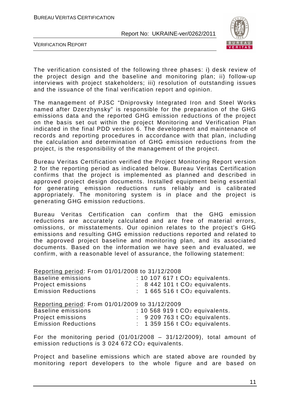

VERIFICATION REPORT

The verification consisted of the following three phases: i) desk review of the project design and the baseline and monitoring plan; ii) follow-up interviews with project stakeholders; iii) resolution of outstanding issues and the issuance of the final verification report and opinion.

The management of PJSC "Dniprovsky Integrated Iron and Steel Works named after Dzerzhynsky" is responsible for the preparation of the GHG emissions data and the reported GHG emission reductions of the project on the basis set out within the project Monitoring and Verification Plan indicated in the final PDD version 6. The development and maintenance of records and reporting procedures in accordance with that plan, including the calculation and determination of GHG emission reductions from the project, is the responsibility of the management of the project.

Bureau Veritas Certification verified the Project Monitoring Report version 2 for the reporting period as indicated below. Bureau Veritas Certification confirms that the project is implemented as planned and described in approved project design documents. Installed equipment being essential for generating emission reductions runs reliably and is calibrated appropriately. The monitoring system is in place and the project is generating GHG emission reductions.

Bureau Veritas Certification can confirm that the GHG emission reductions are accurately calculated and are free of material errors, omissions, or misstatements. Our opinion relates to the project's GHG emissions and resulting GHG emission reductions reported and related to the approved project baseline and monitoring plan, and its associated documents. Based on the information we have seen and evaluated, we confirm, with a reasonable level of assurance, the following statement:

Reporting period: From 01/01/2008 to 31/12/2008

| Baseline emissions         | $: 10$ 107 617 t $CO2$ equivalents.                   |
|----------------------------|-------------------------------------------------------|
| Project emissions          | $\therefore$ 8 442 101 t CO <sub>2</sub> equivalents. |
| <b>Emission Reductions</b> | $: 1665516tCO2$ equivalents.                          |

Reporting period: From 01/01/2009 to 31/12/2009 Baseline emissions : 10 568 919 t CO<sub>2</sub> equivalents. Project emissions : 9 209 763 t CO<sub>2</sub> equivalents. Emission Reductions : 1 359 156 t CO<sub>2</sub> equivalents.

For the monitoring period  $(01/01/2008 - 31/12/2009)$ , total amount of emission reductions is 3 024 672 CO<sub>2</sub> equivalents.

Project and baseline emissions which are stated above are rounded by monitoring report developers to the whole figure and are based on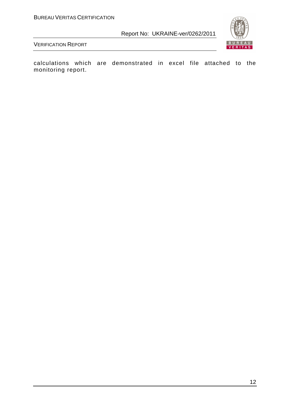

VERIFICATION REPORT

calculations which are demonstrated in excel file attached to the monitoring report.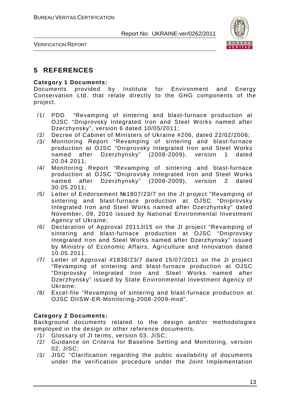

VERIFICATION REPORT

# **5 REFERENCES**

#### **Category 1 Documents:**

Documents provided by Institute for Environment and Energy Conservation Ltd. that relate directly to the GHG components of the project.

- /1/ PDD "Revamping of sintering and blast-furnace production at OJSC "Dniprovsky Integrated Iron and Steel Works named after Dzerzhynsky", version 6 dated 10/05/2011;
- /2/ Decree of Cabinet of Ministers of Ukraine #206, dated 22/02/2006;
- /3/ Monitoring Report "Revamping of sintering and blast-furnace production at OJSC "Dniprovsky Integrated Iron and Steel Works named after Dzerzhynsky" (2008-2009), version 1 dated 20.04.2011;
- /4/ Monitoring Report "Revamping of sintering and blast-furnace production at OJSC "Dniprovsky Integrated Iron and Steel Works named after Dzerzhynsky" (2008-2009), version 2 dated 30.05.2011;
- /5/ Letter of Endorsement №1807/23/7 on the JI project "Revamping of sintering and blast-furnace production at OJSC "Dniprovsky Integrated Iron and Steel Works named after Dzerzhynsky" dated November, 09, 2010 issued by National Environmental Investment Agency of Ukraine;
- /6/ Declaration of Approval 2011JI15 on the JI project "Revamping of sintering and blast-furnace production at OJSC "Dniprovsky Integrated Iron and Steel Works named after Dzerzhynsky" issued by Ministry of Economic Affairs, Agriculture and Innovation dated 10.05.2011.
- /7/ Letter of Approval #1838/23/7 dated 15/07/2011 on the JI project "Revamping of sintering and blast-furnace production at OJSC "Dniprovsky Integrated Iron and Steel Works named after Dzerzhynsky" issued by State Environmental Investment Agency of Ukraine;
- /8/ Excel-file "Revamping of sintering and blast-furnace production at OJSC DIISW-ER-Monitoring-2008-2009-mod".

#### **Category 2 Documents:**

Background documents related to the design and/or methodologies employed in the design or other reference documents.

- /1/ Glossary of JI terms, version 03, JISC;
- /2/ Guidance on Criteria for Baseline Setting and Monitoring, version 02, JISC;
- /3/ JISC "Clarification regarding the public availability of documents under the verification procedure under the Joint Implementation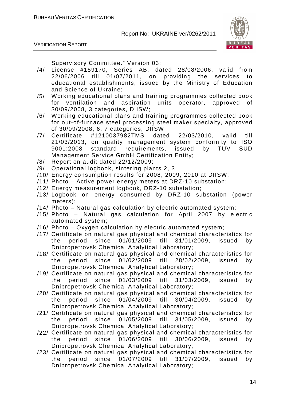

VERIFICATION REPORT

Supervisory Committee." Version 03;

- /4/ License #159170, Series AB, dated 28/08/2006, valid from 22/06/2006 till 01/07/2011, on providing the services to educational establishments, issued by the Ministry of Education and Science of Ukraine;
- /5/ Working educational plans and training programmes collected book for ventilation and aspiration units operator, approved of 30/09/2008, 3 categories, DIISW;
- /6/ Working educational plans and training programmes collected book for out-of-furnace steel processing steel maker specialty, approved of 30/09/2008, 6, 7 categories, DIISW;
- /7/ Certificate #1210037982TMS dated 22/03/2010, valid till 21/03/2013, on quality management system conformity to ISO 9001:2008 standard requirements, issued by TÜV SÜD Management Service GmbH Certification Entity;
- /8/ Report on audit dated 22/12/2009;
- /9/ Operational logbook, sintering plants 2, 3;
- /10/ Energy consumption results for 2008, 2009, 2010 at DIISW;
- /11/ Photo Active power energy meters at DRZ-10 substation;
- /12/ Energy measurement logbook, DRZ-10 substation;
- /13/ Logbook on energy consumed by DRZ-10 substation (power meters);
- /14/ Photo Natural gas calculation by electric automated system;
- /15/ Photo Natural gas calculation for April 2007 by electric automated system;
- /16/ Photo Oxygen calculation by electric automated system;
- /17/ Certificate on natural gas physical and chemical characteristics for the period since 01/01/2009 till 31/01/2009, issued by Dnipropetrovsk Chemical Analytical Laboratory;
- /18/ Certificate on natural gas physical and chemical characteristics for the period since 01/02/2009 till 28/02/2009, issued by Dnipropetrovsk Chemical Analytical Laboratory;
- /19/ Certificate on natural gas physical and chemical characteristics for the period since 01/03/2009 till 31/03/2009, issued by Dnipropetrovsk Chemical Analytical Laboratory;
- /20/ Certificate on natural gas physical and chemical characteristics for the period since 01/04/2009 till 30/04/2009, issued by Dnipropetrovsk Chemical Analytical Laboratory;
- /21/ Certificate on natural gas physical and chemical characteristics for the period since 01/05/2009 till 31/05/2009, issued by Dnipropetrovsk Chemical Analytical Laboratory;
- /22/ Certificate on natural gas physical and chemical characteristics for the period since 01/06/2009 till 30/06/2009, issued by Dnipropetrovsk Chemical Analytical Laboratory;
- /23/ Certificate on natural gas physical and chemical characteristics for the period since 01/07/2009 till 31/07/2009, issued by Dnipropetrovsk Chemical Analytical Laboratory;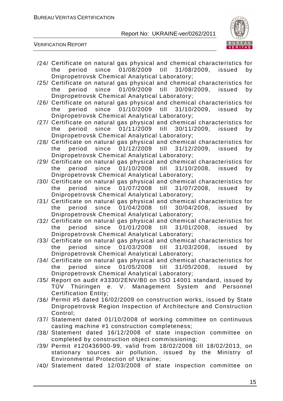

VERIFICATION REPORT

- /24/ Certificate on natural gas physical and chemical characteristics for the period since 01/08/2009 till 31/08/2009, issued by Dnipropetrovsk Chemical Analytical Laboratory;
- /25/ Certificate on natural gas physical and chemical characteristics for the period since 01/09/2009 till 30/09/2009, issued by Dnipropetrovsk Chemical Analytical Laboratory;
- /26/ Certificate on natural gas physical and chemical characteristics for the period since 01/10/2009 till 31/10/2009, issued by Dnipropetrovsk Chemical Analytical Laboratory;
- /27/ Certificate on natural gas physical and chemical characteristics for the period since 01/11/2009 till 30/11/2009, issued by Dnipropetrovsk Chemical Analytical Laboratory;
- /28/ Certificate on natural gas physical and chemical characteristics for the period since 01/12/2009 till 31/12/2009, issued by Dnipropetrovsk Chemical Analytical Laboratory;
- /29/ Certificate on natural gas physical and chemical characteristics for the period since 01/10/2008 till 31/10/2008, issued by Dnipropetrovsk Chemical Analytical Laboratory;
- /30/ Certificate on natural gas physical and chemical characteristics for the period since 01/07/2008 till 31/07/2008, issued by Dnipropetrovsk Chemical Analytical Laboratory;
- /31/ Certificate on natural gas physical and chemical characteristics for the period since 01/04/2008 till 30/04/2008, issued by Dnipropetrovsk Chemical Analytical Laboratory;
- /32/ Certificate on natural gas physical and chemical characteristics for the period since 01/01/2008 till 31/01/2008, issued by Dnipropetrovsk Chemical Analytical Laboratory;
- /33/ Certificate on natural gas physical and chemical characteristics for the period since 01/03/2008 till 31/03/2008, issued by Dnipropetrovsk Chemical Analytical Laboratory;
- /34/ Certificate on natural gas physical and chemical characteristics for the period since 01/05/2008 till 31/05/2008, issued by Dnipropetrovsk Chemical Analytical Laboratory;
- /35/ Report on audit #3330/2ENV/B0 on ISO 14001 standard, issued by TÜV Thüringen e. V. Management System and Personnel Certification Entity;
- /36/ Permit #5 dated 16/02/2009 on construction works, issued by State Dnipropetrovsk Region Inspection of Architecture and Construction Control;
- /37/ Statement dated 01/10/2008 of working committee on continuous casting machine #1 construction completeness;
- /38/ Statement dated 16/12/2008 of state inspection committee on completed by construction object commissioning;
- /39/ Permit #120436900-99, valid from 18/02/2008 till 18/02/2013, on stationary sources air pollution, issued by the Ministry of Environmental Protection of Ukraine;
- /40/ Statement dated 12/03/2008 of state inspection committee on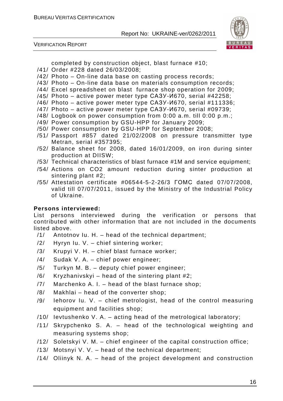VERIFICATION REPORT



completed by construction object, blast furnace #10;

- /41/ Order #228 dated 26/03/2008;
- /42/ Photo On-line data base on casting process records;
- /43/ Photo On-line data base on materials consumption records;
- /44/ Excel spreadsheet on blast furnace shop operation for 2009;
- /45/ Photo active power meter type САЗУ-И670, serial #42258;
- /46/ Photo active power meter type САЗУ-И670, serial #111336;
- /47/ Photo active power meter type САЗУ-И670, serial #09739;
- /48/ Logbook on power consumption from 0:00 a.m. till 0:00 p.m.;
- /49/ Power consumption by GSU-HPP for January 2009;
- /50/ Power consumption by GSU-HPP for September 2008;
- /51/ Passport #857 dated 21/02/2008 on pressure transmitter type Metran, serial #357395;
- /52/ Balance sheet for 2008, dated 16/01/2009, on iron during sinter production at DIISW;
- /53/ Technical characteristics of blast furnace #1M and service equipment;
- /54/ Actions on CO2 amount reduction during sinter production at sintering plant #2;
- /55/ Attestation certificate #06544-5-2-26/3 ГОМС dated 07/07/2008, valid till 07/07/2011, issued by the Ministry of the Industrial Policy of Ukraine.

### **Persons interviewed:**

List persons interviewed during the verification or persons that contributed with other information that are not included in the documents listed above.

- /1/ Antotnov Iu. H. head of the technical department;
- /2/ Hyryn Iu. V. chief sintering worker;
- /3/ Krupyi V. H. chief blast furnace worker;
- /4/ Sudak V. A. chief power engineer;
- /5/ Turkyn M. B. deputy chief power engineer;
- $/6/$  Kryzhanivskyi head of the sintering plant #2;
- /7/ Marchenko A. I. head of the blast furnace shop;
- /8/ Makhlai head of the converter shop;
- /9/ Iehorov Iu. V. chief metrologist, head of the control measuring equipment and facilities shop;
- /10/ Ievtushenko V. A. acting head of the metrological laboratory;
- /11/ Skrypchenko S. A. head of the technological weighting and measuring systems shop;
- /12/ Soletskyi V. M. chief engineer of the capital construction office;
- /13/ Motsnyi V. V. head of the technical department;
- /14/ Oliinyk N. A. head of the project development and construction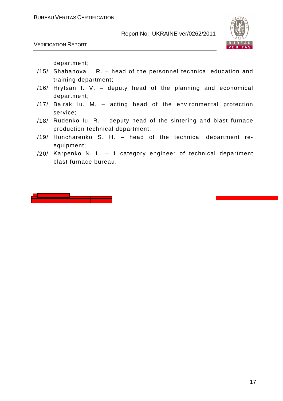

VERIFICATION REPORT

department;

- /15/ Shabanova I. R. head of the personnel technical education and training department;
- /16/ Hrytsan I. V. deputy head of the planning and economical department;
- /17/ Bairak Iu. M. acting head of the environmental protection service;
- /18/ Rudenko Iu. R. deputy head of the sintering and blast furnace production technical department;
- /19/ Honcharenko S. H. head of the technical department reequipment;
- /20/ Karpenko N. L. 1 category engineer of technical department blast furnace bureau.

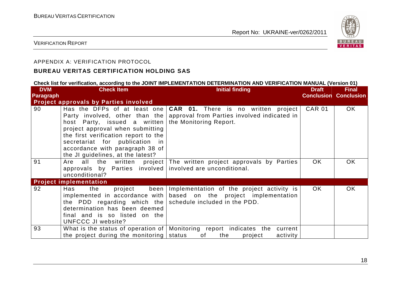

#### VERIFICATION REPORT

#### APPENDIX A: VERIFICATION PROTOCOL

#### **BUREAU VERITAS CERTIFICATION HOLDING SAS**

#### **Check list for verification, according to the JOINT IMPLEMENTATION DETERMINATION AND VERIFICATION MANUAL (Version 01)**

| <b>DVM</b>       | <b>Check Item</b>                                                                                                                                                                                                  | <b>Initial finding</b>                                                                                                                                                      | <b>Draft</b>                 | <b>Final</b> |
|------------------|--------------------------------------------------------------------------------------------------------------------------------------------------------------------------------------------------------------------|-----------------------------------------------------------------------------------------------------------------------------------------------------------------------------|------------------------------|--------------|
| <b>Paragraph</b> | <b>Project approvals by Parties involved</b>                                                                                                                                                                       |                                                                                                                                                                             | <b>Conclusion Conclusion</b> |              |
| 90               | host Party, issued a written<br>project approval when submitting<br>the first verification report to the<br>secretariat for publication in<br>accordance with paragraph 38 of<br>the JI guidelines, at the latest? | Has the DFPs of at least one $ CAR$ 01. There is no written project<br>Party involved, other than the approval from Parties involved indicated in<br>the Monitoring Report. | <b>CAR 01</b>                | OK.          |
| 91               | all<br>the<br>Are<br>approvals by Parties involved involved are unconditional.<br>unconditional?                                                                                                                   | written project The written project approvals by Parties                                                                                                                    | <b>OK</b>                    | OK.          |
|                  | <b>Project implementation</b>                                                                                                                                                                                      |                                                                                                                                                                             |                              |              |
| 92               | Has<br>the<br>project<br>been<br>the PDD regarding which the schedule included in the PDD.<br>determination has been deemed<br>final and is so listed on the<br>UNFCCC JI website?                                 | Implementation of the project activity is<br>implemented in accordance with $\vert$ based on the project implementation                                                     | OK.                          | OK.          |
| 93               | the project during the monitoring status                                                                                                                                                                           | What is the status of operation of Monitoring report indicates the current<br>of<br>activity<br>the<br>project                                                              |                              |              |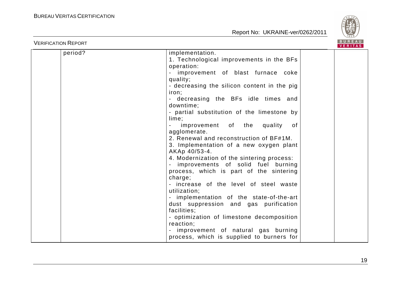

| <b>VERIFICATION REPORT</b> |                                                                                                                                                                                                                                                                                                                                                                                                                                                                                                                                                                                                                                                                                                                                                                                                                                                                                                                  | <b>BUREAU</b><br><b>VERITAS</b> |
|----------------------------|------------------------------------------------------------------------------------------------------------------------------------------------------------------------------------------------------------------------------------------------------------------------------------------------------------------------------------------------------------------------------------------------------------------------------------------------------------------------------------------------------------------------------------------------------------------------------------------------------------------------------------------------------------------------------------------------------------------------------------------------------------------------------------------------------------------------------------------------------------------------------------------------------------------|---------------------------------|
| period?                    | implementation.<br>1. Technological improvements in the BFs<br>operation:<br>improvement of blast furnace coke<br>quality;<br>- decreasing the silicon content in the pig<br>iron;<br>- decreasing the BFs idle times and<br>downtime:<br>- partial substitution of the limestone by<br>lime;<br>improvement of the<br>quality<br>of<br>agglomerate.<br>2. Renewal and reconstruction of BF#1M.<br>3. Implementation of a new oxygen plant<br>AKAp 40/53-4.<br>4. Modernization of the sintering process:<br>improvements of solid fuel burning<br>process, which is part of the sintering<br>charge;<br>- increase of the level of steel waste<br>utilization;<br>- implementation of the state-of-the-art<br>dust suppression and gas purification<br>facilities;<br>- optimization of limestone decomposition<br>reaction;<br>improvement of natural gas burning<br>process, which is supplied to burners for |                                 |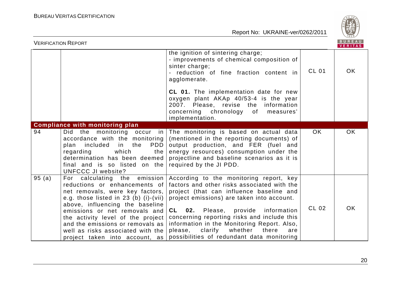

|       | <b>VERIFICATION REPORT</b>                                                                                                                                                                                                                                                                                                                                      |                                                                                                                                                                                                                                                                                                                                                                                                                        |              | BUREAU<br><b>VERITAS</b> |
|-------|-----------------------------------------------------------------------------------------------------------------------------------------------------------------------------------------------------------------------------------------------------------------------------------------------------------------------------------------------------------------|------------------------------------------------------------------------------------------------------------------------------------------------------------------------------------------------------------------------------------------------------------------------------------------------------------------------------------------------------------------------------------------------------------------------|--------------|--------------------------|
|       |                                                                                                                                                                                                                                                                                                                                                                 | the ignition of sintering charge;<br>- improvements of chemical composition of<br>sinter charge;<br>- reduction of fine fraction content in<br>agglomerate.                                                                                                                                                                                                                                                            | <b>CL 01</b> | <b>OK</b>                |
|       |                                                                                                                                                                                                                                                                                                                                                                 | CL 01. The implementation date for new<br>oxygen plant AKAp 40/53-4 is the year<br>2007. Please, revise the information<br>concerning chronology of<br>measures'<br>implementation.                                                                                                                                                                                                                                    |              |                          |
|       | <b>Compliance with monitoring plan</b>                                                                                                                                                                                                                                                                                                                          |                                                                                                                                                                                                                                                                                                                                                                                                                        |              |                          |
| 94    | Did the monitoring occur in<br>accordance with the monitoring<br>in the<br><b>PDD</b><br>plan included<br>which<br>regarding<br>the<br>determination has been deemed<br>final and is so listed on the<br><b>UNFCCC JI website?</b>                                                                                                                              | The monitoring is based on actual data<br>(mentioned in the reporting documents) of<br>output production, and FER (fuel and<br>energy resources) consumption under the<br>projectline and baseline scenarios as it is<br>required by the JI PDD.                                                                                                                                                                       | OK.          | OK                       |
| 95(a) | For calculating the emission<br>reductions or enhancements of<br>net removals, were key factors,<br>e.g. those listed in $23$ (b) (i)-(vii)<br>above, influencing the baseline<br>emissions or net removals and<br>the activity level of the project<br>and the emissions or removals as<br>well as risks associated with the<br>project taken into account, as | According to the monitoring report, key<br>factors and other risks associated with the<br>project (that can influence baseline and<br>project emissions) are taken into account.<br>02. Please, provide information<br>CL<br>concerning reporting risks and include this<br>information in the Monitoring Report. Also,<br>clarify<br>whether<br>there<br>please,<br>are<br>possibilities of redundant data monitoring | CL 02        | OK                       |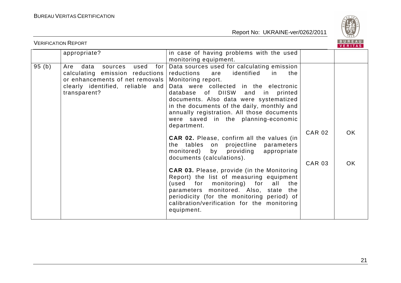

| <b>VERIFICATION REPORT</b> |                                                                                                                                                                   |                                                                                                                                                                                                                                                                                                                                                                                                  |               |     |
|----------------------------|-------------------------------------------------------------------------------------------------------------------------------------------------------------------|--------------------------------------------------------------------------------------------------------------------------------------------------------------------------------------------------------------------------------------------------------------------------------------------------------------------------------------------------------------------------------------------------|---------------|-----|
|                            | appropriate?                                                                                                                                                      | in case of having problems with the used<br>monitoring equipment.                                                                                                                                                                                                                                                                                                                                |               |     |
| 95(b)                      | data<br>sources<br>used<br>Are<br>for<br>calculating emission reductions<br>or enhancements of net removals  <br>clearly identified, reliable and<br>transparent? | Data sources used for calculating emission<br>identified<br>reductions<br>in.<br>the<br>are<br>Monitoring report.<br>Data were collected in the electronic<br>database of DIISW<br>and in<br>printed<br>documents. Also data were systematized<br>in the documents of the daily, monthly and<br>annually registration. All those documents<br>were saved in the planning-economic<br>department. |               |     |
|                            |                                                                                                                                                                   | <b>CAR 02.</b> Please, confirm all the values (in<br>the tables on projectline<br>parameters<br>providing<br>monitored)<br>by<br>appropriate<br>documents (calculations).                                                                                                                                                                                                                        | <b>CAR 02</b> | OK  |
|                            |                                                                                                                                                                   | <b>CAR 03.</b> Please, provide (in the Monitoring<br>Report) the list of measuring equipment<br>(used for monitoring) for<br>all<br>the<br>parameters monitored. Also, state the<br>periodicity (for the monitoring period) of<br>calibration/verification for the monitoring<br>equipment.                                                                                                      | <b>CAR 03</b> | OK. |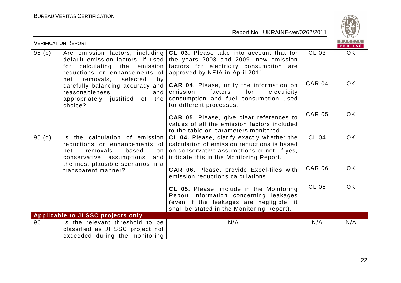

| <b>VERIFICATION REPORT</b> |                                                                                                                                                                             |                                                                                                                                                                                     |               | B U R E A U<br>VERITAS |
|----------------------------|-----------------------------------------------------------------------------------------------------------------------------------------------------------------------------|-------------------------------------------------------------------------------------------------------------------------------------------------------------------------------------|---------------|------------------------|
| 95(c)                      | Are emission factors, including<br>default emission factors, if used<br>for calculating the emission<br>reductions or enhancements of<br>selected<br>removals,<br>net<br>by | CL 03. Please take into account that for<br>the years 2008 and 2009, new emission<br>factors for electricity consumption are<br>approved by NEIA in April 2011.                     | CL 03         | OK                     |
|                            | carefully balancing accuracy and<br>reasonableness.<br>and<br>appropriately justified of the<br>choice?                                                                     | CAR 04. Please, unify the information on<br>factors<br>emission<br>for<br>electricity<br>consumption and fuel consumption used<br>for different processes.                          | <b>CAR 04</b> | OK.                    |
|                            |                                                                                                                                                                             | <b>CAR 05.</b> Please, give clear references to<br>values of all the emission factors included<br>to the table on parameters monitored.                                             | <b>CAR 05</b> | <b>OK</b>              |
| 95(d)                      | Is the calculation of emission<br>reductions or enhancements of<br>removals<br>based<br>net<br>on<br>conservative assumptions<br>and                                        | CL 04. Please, clarify exactly whether the<br>calculation of emission reductions is based<br>on conservative assumptions or not. If yes,<br>indicate this in the Monitoring Report. | <b>CL 04</b>  | <b>OK</b>              |
|                            | the most plausible scenarios in a<br>transparent manner?                                                                                                                    | <b>CAR 06.</b> Please, provide Excel-files with<br>emission reductions calculations.                                                                                                | <b>CAR 06</b> | <b>OK</b>              |
|                            |                                                                                                                                                                             | CL 05. Please, include in the Monitoring<br>Report information concerning leakages<br>(even if the leakages are negligible, it<br>shall be stated in the Monitoring Report).        | <b>CL 05</b>  | <b>OK</b>              |
|                            | <b>Applicable to JI SSC projects only</b>                                                                                                                                   |                                                                                                                                                                                     |               |                        |
| 96                         | Is the relevant threshold to be<br>classified as JI SSC project not<br>exceeded during the monitoring                                                                       | N/A                                                                                                                                                                                 | N/A           | N/A                    |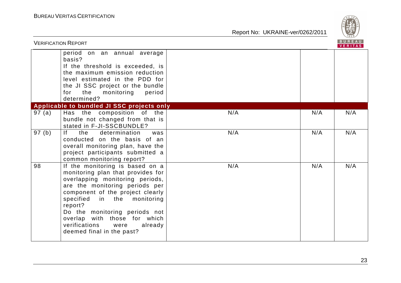

|       | <b>VERIFICATION REPORT</b>                                                                                                                                                                                                                                                                                                                                |     |     |     |  |
|-------|-----------------------------------------------------------------------------------------------------------------------------------------------------------------------------------------------------------------------------------------------------------------------------------------------------------------------------------------------------------|-----|-----|-----|--|
|       | period on an annual average<br>basis?<br>If the threshold is exceeded, is<br>the maximum emission reduction<br>level estimated in the PDD for<br>the JI SSC project or the bundle<br>for<br>the<br>monitoring<br>period<br>determined?                                                                                                                    |     |     |     |  |
|       | Applicable to bundled JI SSC projects only                                                                                                                                                                                                                                                                                                                |     |     |     |  |
| 97(a) | Has the composition of the<br>bundle not changed from that is<br>stated in F-JI-SSCBUNDLE?                                                                                                                                                                                                                                                                | N/A | N/A | N/A |  |
| 97(b) | f <br>the<br>determination<br>was<br>conducted on the basis of an<br>overall monitoring plan, have the<br>project participants submitted a<br>common monitoring report?                                                                                                                                                                                   | N/A | N/A | N/A |  |
| 98    | If the monitoring is based on a<br>monitoring plan that provides for<br>overlapping monitoring periods,<br>are the monitoring periods per<br>component of the project clearly<br>specified in the monitoring<br>report?<br>Do the monitoring periods not<br>overlap with those for which<br>verifications<br>already<br>were<br>deemed final in the past? | N/A | N/A | N/A |  |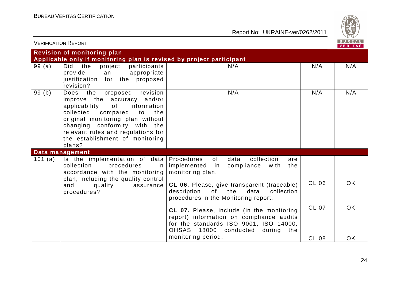

| <b>VERIFICATION REPORT</b> |                                                                                                                                                                                                                                                                                                 |                                                                                                                                                                     |              | <b>BUREAU</b><br>VERITAS |
|----------------------------|-------------------------------------------------------------------------------------------------------------------------------------------------------------------------------------------------------------------------------------------------------------------------------------------------|---------------------------------------------------------------------------------------------------------------------------------------------------------------------|--------------|--------------------------|
|                            | <b>Revision of monitoring plan</b><br>Applicable only if monitoring plan is revised by project participant                                                                                                                                                                                      |                                                                                                                                                                     |              |                          |
| 99(a)                      | Did the<br>project<br>participants<br>provide<br>appropriate<br>an<br>justification for the<br>proposed<br>revision?                                                                                                                                                                            | N/A                                                                                                                                                                 | N/A          | N/A                      |
| 99(b)                      | Does the<br>revision<br>proposed<br>improve the accuracy and/or<br>of<br>applicability<br>information<br>collected compared<br>to<br>the<br>original monitoring plan without<br>changing conformity with the<br>relevant rules and regulations for<br>the establishment of monitoring<br>plans? | N/A                                                                                                                                                                 | N/A          | N/A                      |
|                            | Data management                                                                                                                                                                                                                                                                                 |                                                                                                                                                                     |              |                          |
| 101 (a)                    | Is the implementation of data<br>collection<br>procedures<br>in<br>accordance with the monitoring                                                                                                                                                                                               | Procedures<br>of<br>data<br>collection<br>are<br>implemented<br>compliance<br>with<br>in<br>the<br>monitoring plan.                                                 |              |                          |
|                            | plan, including the quality control<br>quality<br>and<br>assurance<br>procedures?                                                                                                                                                                                                               | CL 06. Please, give transparent (traceable)<br>of<br>description<br>the<br>data<br>collection<br>procedures in the Monitoring report.                               | <b>CL 06</b> | OK.                      |
|                            |                                                                                                                                                                                                                                                                                                 | CL 07. Please, include (in the monitoring<br>report) information on compliance audits<br>for the standards ISO 9001, ISO 14000,<br>OHSAS 18000 conducted during the | <b>CL 07</b> | OK.                      |
|                            |                                                                                                                                                                                                                                                                                                 | monitoring period.                                                                                                                                                  | <b>CL 08</b> | <b>OK</b>                |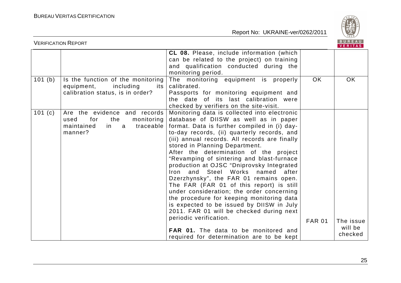

|           | <b>VERIFICATION REPORT</b>                                                                                        |                                                                                                                                                                                                                                                                                                                                                                                                                                                                                                                                                                                                                                                                                                                                                                                                                                                      |               | BUREAU<br>VERITAS               |
|-----------|-------------------------------------------------------------------------------------------------------------------|------------------------------------------------------------------------------------------------------------------------------------------------------------------------------------------------------------------------------------------------------------------------------------------------------------------------------------------------------------------------------------------------------------------------------------------------------------------------------------------------------------------------------------------------------------------------------------------------------------------------------------------------------------------------------------------------------------------------------------------------------------------------------------------------------------------------------------------------------|---------------|---------------------------------|
|           |                                                                                                                   | <b>CL 08.</b> Please, include information (which<br>can be related to the project) on training<br>and qualification conducted during the<br>monitoring period.                                                                                                                                                                                                                                                                                                                                                                                                                                                                                                                                                                                                                                                                                       |               |                                 |
| 101 (b)   | Is the function of the monitoring<br>equipment,<br>including<br>its<br>calibration status, is in order?           | The monitoring equipment is properly<br>calibrated.<br>Passports for monitoring equipment and<br>the date of its last calibration were<br>checked by verifiers on the site-visit.                                                                                                                                                                                                                                                                                                                                                                                                                                                                                                                                                                                                                                                                    | <b>OK</b>     | <b>OK</b>                       |
| 101 $(c)$ | Are the evidence and records<br>for<br>the<br>monitoring<br>used<br>maintained<br>traceable<br>in<br>a<br>manner? | Monitoring data is collected into electronic<br>database of DIISW as well as in paper<br>format. Data is further compiled in (i) day-<br>to-day records, (ii) quarterly records, and<br>(iii) annual records. All records are finally<br>stored in Planning Department.<br>After the determination of the project<br>"Revamping of sintering and blast-furnace<br>production at OJSC "Dniprovsky Integrated<br>and Steel Works named<br>Iron<br>after<br>Dzerzhynsky", the FAR 01 remains open.<br>The FAR (FAR 01 of this report) is still<br>under consideration; the order concerning<br>the procedure for keeping monitoring data<br>is expected to be issued by DIISW in July<br>2011. FAR 01 will be checked during next<br>periodic verification.<br><b>FAR 01.</b> The data to be monitored and<br>required for determination are to be kept | <b>FAR 01</b> | The issue<br>will be<br>checked |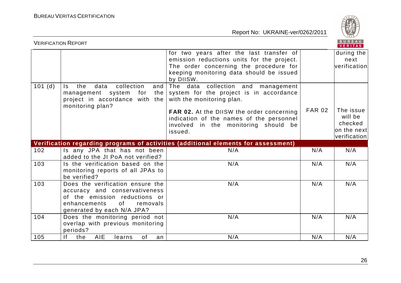

|        | <b>VERIFICATION REPORT</b>                                                                                                                 |                                                                                                                                                                                                                                                        |               | <b>BUREAU</b><br>VERITAS                                        |
|--------|--------------------------------------------------------------------------------------------------------------------------------------------|--------------------------------------------------------------------------------------------------------------------------------------------------------------------------------------------------------------------------------------------------------|---------------|-----------------------------------------------------------------|
|        |                                                                                                                                            | for two years after the last transfer of<br>emission reductions units for the project.<br>The order concerning the procedure for<br>keeping monitoring data should be issued<br>by DIISW.                                                              |               | during the<br>next<br>verification                              |
| 101(d) | collection<br>the<br>data<br>$\mathsf{ls}$<br>and<br>management system<br>for<br>the<br>project in accordance with the<br>monitoring plan? | The data collection and management<br>system for the project is in accordance<br>with the monitoring plan.<br>FAR 02. At the DIISW the order concerning<br>indication of the names of the personnel<br>involved in the monitoring should be<br>issued. | <b>FAR 02</b> | The issue<br>will be<br>checked<br>on the nextl<br>verification |
|        |                                                                                                                                            | Verification regarding programs of activities (additional elements for assessment)                                                                                                                                                                     |               |                                                                 |
| 102    | Is any JPA that has not been<br>added to the JI PoA not verified?                                                                          | N/A                                                                                                                                                                                                                                                    | N/A           | N/A                                                             |
| 103    | Is the verification based on the<br>monitoring reports of all JPAs to<br>be verified?                                                      | N/A                                                                                                                                                                                                                                                    | N/A           | N/A                                                             |
| 103    | Does the verification ensure the                                                                                                           | N/A                                                                                                                                                                                                                                                    | N/A           | N/A                                                             |
|        | accuracy and conservativeness<br>of the emission reductions or<br>enhancements<br>of<br>removals<br>generated by each N/A JPA?             |                                                                                                                                                                                                                                                        |               |                                                                 |
| 104    | Does the monitoring period not<br>overlap with previous monitoring<br>periods?                                                             | N/A                                                                                                                                                                                                                                                    | N/A           | N/A                                                             |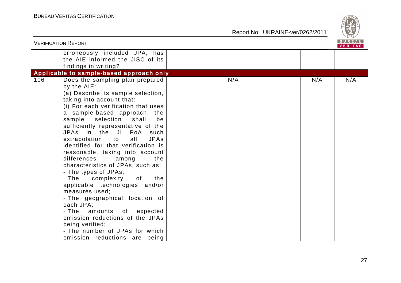Report No: UKRAINE-ver/0262/2011



|     | <b>VERIFICATION REPORT</b>                                                                                                                                                                                                                                                                                                                                                                                                                                                                                                                                                                                                                                                                                                                                                                                      |     |     | B U R E A U  <br>VERITAS |
|-----|-----------------------------------------------------------------------------------------------------------------------------------------------------------------------------------------------------------------------------------------------------------------------------------------------------------------------------------------------------------------------------------------------------------------------------------------------------------------------------------------------------------------------------------------------------------------------------------------------------------------------------------------------------------------------------------------------------------------------------------------------------------------------------------------------------------------|-----|-----|--------------------------|
|     | erroneously included JPA, has<br>the AIE informed the JISC of its<br>findings in writing?                                                                                                                                                                                                                                                                                                                                                                                                                                                                                                                                                                                                                                                                                                                       |     |     |                          |
|     | Applicable to sample-based approach only                                                                                                                                                                                                                                                                                                                                                                                                                                                                                                                                                                                                                                                                                                                                                                        |     |     |                          |
| 106 | Does the sampling plan prepared<br>by the AIE:<br>(a) Describe its sample selection,<br>taking into account that:<br>(i) For each verification that uses<br>a sample-based approach, the<br>sample<br>selection<br>shall<br>be<br>sufficiently representative of the<br>JPAs in the JI PoA<br>such<br>extrapolation to<br>all<br><b>JPAs</b><br>identified for that verification is<br>reasonable, taking into account<br>differences<br>the<br>among<br>characteristics of JPAs, such as:<br>- The types of JPAs;<br>complexity<br>- The<br>of<br>the<br>applicable technologies and/or<br>measures used;<br>- The geographical location of<br>each JPA;<br>- The amounts of expected<br>emission reductions of the JPAs<br>being verified;<br>- The number of JPAs for which<br>emission reductions are being | N/A | N/A | N/A                      |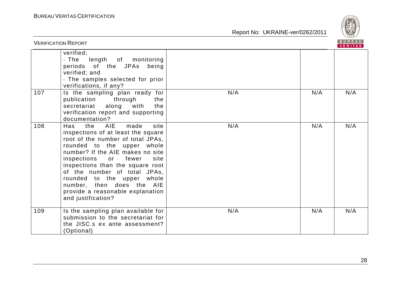

|     | <b>VERIFICATION REPORT</b>                                                                                                                                                                                                                                                                                                                                                                                     |     |     | <b>BUREAU</b><br><b>VERITAS</b> |
|-----|----------------------------------------------------------------------------------------------------------------------------------------------------------------------------------------------------------------------------------------------------------------------------------------------------------------------------------------------------------------------------------------------------------------|-----|-----|---------------------------------|
|     | verified;<br>- The<br>length of monitoring<br>periods of the JPAs<br>being<br>verified; and<br>- The samples selected for prior<br>verifications, if any?                                                                                                                                                                                                                                                      |     |     |                                 |
| 107 | Is the sampling plan ready for<br>publication through<br>the<br>along<br>the<br>secretariat<br>with<br>verification report and supporting<br>documentation?                                                                                                                                                                                                                                                    | N/A | N/A | N/A                             |
| 108 | <b>AIE</b><br>site<br>the<br>made<br>Has<br>inspections of at least the square<br>root of the number of total JPAs,<br>rounded to the upper whole<br>number? If the AIE makes no site<br>site<br>inspections or fewer<br>inspections than the square root<br>of the number of total JPAs,<br>rounded to the upper whole<br>number, then does the AIE<br>provide a reasonable explanation<br>and justification? | N/A | N/A | N/A                             |
| 109 | Is the sampling plan available for<br>submission to the secretariat for<br>the JISC.s ex ante assessment?<br>(Optional)                                                                                                                                                                                                                                                                                        | N/A | N/A | N/A                             |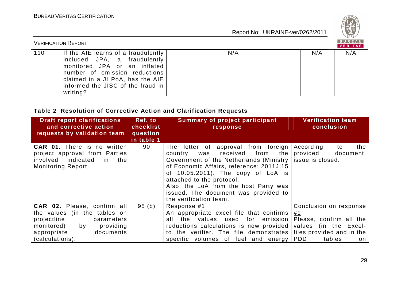

|     | <b>VERIFICATION REPORT</b>                                                                                                                                                                                                |     |     | BUREAU<br>VERITAS |
|-----|---------------------------------------------------------------------------------------------------------------------------------------------------------------------------------------------------------------------------|-----|-----|-------------------|
| 110 | If the AIE learns of a fraudulently<br>included JPA, a fraudulently<br>monitored JPA or an inflated<br>number of emission reductions<br>claimed in a JI PoA, has the AIE<br>informed the JISC of the fraud in<br>writing? | N/A | N/A | N/A               |

# **Table 2 Resolution of Corrective Action and Clarification Requests**

| <b>Draft report clarifications</b><br>and corrective action                                                                                                              | Ref. to<br>checklist   | <b>Summary of project participant</b><br>response                                                                                                                                                                                                                                                                                                        | <b>Verification team</b><br>conclusion                                                                                                      |
|--------------------------------------------------------------------------------------------------------------------------------------------------------------------------|------------------------|----------------------------------------------------------------------------------------------------------------------------------------------------------------------------------------------------------------------------------------------------------------------------------------------------------------------------------------------------------|---------------------------------------------------------------------------------------------------------------------------------------------|
| requests by validation team                                                                                                                                              | question<br>in table 1 |                                                                                                                                                                                                                                                                                                                                                          |                                                                                                                                             |
| <b>CAR 01.</b> There is no written<br>project approval from Parties<br>involved indicated<br>the<br>in i<br><b>Monitoring Report.</b>                                    | 90                     | letter of approval from foreign<br>The<br>received<br>from<br>the<br>country<br>was<br>Government of the Netherlands (Ministry<br>of Economic Affairs, reference: 2011JI15<br>of 10.05.2011). The copy of LoA is<br>attached to the protocol.<br>Also, the LoA from the host Party was<br>issued. The document was provided to<br>the verification team. | According<br>the<br>to<br>provided<br>document,<br>issue is closed.                                                                         |
| CAR 02. Please, confirm all<br>the values (in the tables on<br>projectline<br>parameters<br>monitored)<br>providing<br>by<br>documents<br>appropriate<br>(calculations). | 95 (b)                 | Response #1<br>An appropriate excel file that confirms<br>all<br>the values used for emission<br>reductions calculations is now provided<br>to the verifier. The file demonstrates<br>volumes<br>of fuel<br>and energy<br>specific                                                                                                                       | Conclusion on response<br>#1<br>Please, confirm all the<br>values (in the Excel-<br>files provided and in the<br><b>PDD</b><br>tables<br>on |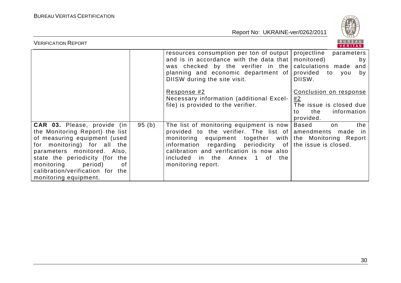

| <b>VERIFICATION REPORT</b>                                                                                                                                                                                                                                                                        | BUREAU<br><b>VERITAS</b> |                                                                                                                                                                                                                                                                                                                                    |                                                                                                  |
|---------------------------------------------------------------------------------------------------------------------------------------------------------------------------------------------------------------------------------------------------------------------------------------------------|--------------------------|------------------------------------------------------------------------------------------------------------------------------------------------------------------------------------------------------------------------------------------------------------------------------------------------------------------------------------|--------------------------------------------------------------------------------------------------|
|                                                                                                                                                                                                                                                                                                   |                          | resources consumption per ton of output projectline<br>and is in accordance with the data that $ $ monitored)<br>was checked by the verifier in the calculations made<br>planning and economic department of<br>DIISW during the site visit.                                                                                       | parameters<br>by<br>and<br>provided to you<br>by<br>DIISW.                                       |
|                                                                                                                                                                                                                                                                                                   |                          | Response #2<br>Necessary information (additional Excel-<br>file) is provided to the verifier.                                                                                                                                                                                                                                      | Conclusion on response<br>#2<br>The issue is closed due<br>the<br>information<br>to<br>provided. |
| <b>CAR 03.</b> Please, provide (in<br>the Monitoring Report) the list<br>of measuring equipment (used<br>for monitoring) for all the<br>parameters monitored. Also,<br>state the periodicity (for the<br>monitoring<br>period)<br>0f<br>calibration/verification for the<br>monitoring equipment. | 95(b)                    | The list of monitoring equipment is now  <br>provided to the verifier. The list of amendments made in<br>monitoring equipment together with the Monitoring Report<br>information regarding periodicity of the issue is closed.<br>calibration and verification is now also<br>included in the Annex 1 of the<br>monitoring report. | <b>Based</b><br>the<br>on                                                                        |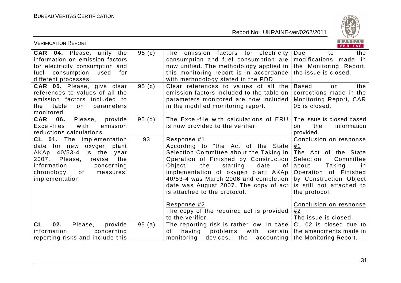

| <b>VERIFICATION REPORT</b>                                                                                                                                                                                               |       |                                                                                                                                                                                                                                                                                                                                                                                                                                                      | BUREAU<br>VERITAS                                                                                                                                                                                                                    |
|--------------------------------------------------------------------------------------------------------------------------------------------------------------------------------------------------------------------------|-------|------------------------------------------------------------------------------------------------------------------------------------------------------------------------------------------------------------------------------------------------------------------------------------------------------------------------------------------------------------------------------------------------------------------------------------------------------|--------------------------------------------------------------------------------------------------------------------------------------------------------------------------------------------------------------------------------------|
| <b>CAR 04.</b> Please, unify the<br>information on emission factors<br>for electricity consumption and<br>consumption<br>fuel<br>used<br>for<br>different processes.                                                     | 95(c) | The emission factors for electricity<br>consumption and fuel consumption are<br>now unified. The methodology applied in<br>this monitoring report is in accordance<br>with methodology stated in the PDD.                                                                                                                                                                                                                                            | Due<br>the<br>to<br>modifications made in<br>the Monitoring Report,<br>the issue is closed.                                                                                                                                          |
| CAR 05. Please, give clear<br>references to values of all the<br>emission factors included to<br>table<br>the<br>parameters<br>on<br>monitored.                                                                          | 95(c) | Clear references to values of all the<br>emission factors included to the table on<br>parameters monitored are now included<br>in the modified monitoring report.                                                                                                                                                                                                                                                                                    | <b>Based</b><br>the<br>on<br>corrections made in the<br>Monitoring Report, CAR<br>05 is closed.                                                                                                                                      |
| <b>CAR</b><br>06.<br>Please,<br>provide<br>Excel-files<br>emission<br>with<br>reductions calculations.                                                                                                                   | 95(d) | The Excel-file with calculations of ERU<br>is now provided to the verifier.                                                                                                                                                                                                                                                                                                                                                                          | The issue is closed based<br>the<br>information<br>on.<br>provided.                                                                                                                                                                  |
| <b>CL 01.</b> The implementation<br>date for new oxygen<br>plant<br>AKAp 40/53-4<br>is the<br>year<br>2007.<br>Please,<br>revise<br>the<br>information<br>concerning<br>of<br>chronology<br>measures'<br>implementation. | 93    | Response #1<br>According to "the Act of the State<br>Selection Committee about the Taking in<br>Operation of Finished by Construction<br>Object"<br>the<br>starting<br>date<br>0f<br>implementation of oxygen plant AKAp  <br>40/53-4 was March 2006 and completion<br>date was August 2007. The copy of act is still not attached to<br>is attached to the protocol.<br>Response #2<br>The copy of the required act is provided<br>to the verifier. | Conclusion on response<br>#1<br>The Act of the State<br>Selection<br>Committee<br>about<br>Taking<br>-in<br>Operation of Finished<br>by Construction Object<br>the protocol.<br>Conclusion on response<br>#2<br>The issue is closed. |
| 02.<br><b>CL</b><br>Please,<br>provide<br>information<br>concerning<br>reporting risks and include this                                                                                                                  | 95(a) | The reporting risk is rather low. In case<br>having<br>problems<br>with<br>certain<br>0f<br>monitoring<br>devices, the accounting the Monitoring Report.                                                                                                                                                                                                                                                                                             | CL 02 is closed due to<br>the amendments made in                                                                                                                                                                                     |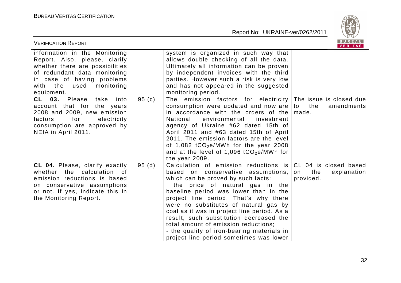

| <b>VERIFICATION REPORT</b>                                                                                                                                                                                   |       |                                                                                                                                                                                                                                                                                                                                                                                                                                                                                                                                       | BUREAU<br>VERITAS                     |
|--------------------------------------------------------------------------------------------------------------------------------------------------------------------------------------------------------------|-------|---------------------------------------------------------------------------------------------------------------------------------------------------------------------------------------------------------------------------------------------------------------------------------------------------------------------------------------------------------------------------------------------------------------------------------------------------------------------------------------------------------------------------------------|---------------------------------------|
| information in the Monitoring<br>Report. Also, please, clarify<br>whether there are possibilities<br>of redundant data monitoring<br>in case of having problems<br>with the used<br>monitoring<br>equipment. |       | system is organized in such way that<br>allows double checking of all the data.<br>Ultimately all information can be proven<br>by independent invoices with the third<br>parties. However such a risk is very low<br>and has not appeared in the suggested<br>monitoring period.                                                                                                                                                                                                                                                      |                                       |
| CL 03. Please<br>take<br>into<br>account that for the years<br>2008 and 2009, new emission<br>electricity<br>factors<br>for<br>consumption are approved by<br>NEIA in April 2011.                            | 95(c) | emission factors for electricity The issue is closed due<br>The<br>consumption were updated and now are $\vert$ to the<br>in accordance with the orders of the $ $ made.<br>National<br>environmental<br>investment<br>agency of Ukraine #62 dated 15th of<br>April 2011 and #63 dated 15th of April<br>2011. The emission factors are the level<br>of 1,082 $tCO_2e/MWh$ for the year 2008<br>and at the level of 1,096 $tCO_2e/MWh$ for<br>the year 2009.                                                                           | amendments                            |
| CL 04. Please, clarify exactly<br>whether the calculation of<br>emission reductions is based<br>on conservative assumptions<br>or not. If yes, indicate this in<br>the Monitoring Report.                    | 95(d) | Calculation of emission reductions is $ CL$ 04 is closed based<br>based on conservative assumptions,<br>which can be proved by such facts:<br>- the price of natural gas in the<br>baseline period was lower than in the<br>project line period. That's why there<br>were no substitutes of natural gas by<br>coal as it was in project line period. As a<br>result, such substitution decreased the<br>total amount of emission reductions;<br>- the quality of iron-bearing materials in<br>project line period sometimes was lower | explanation<br>the<br>on<br>provided. |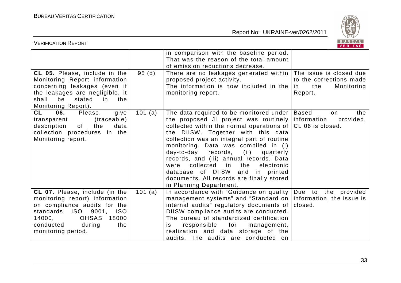

| BUREAU<br><b>VERIFICATION REPORT</b><br>VERITAS                                                                                                                                                                                 |         |                                                                                                                                                                                                                                                                                                                                                                                                                                                                                                                       |                                                                            |
|---------------------------------------------------------------------------------------------------------------------------------------------------------------------------------------------------------------------------------|---------|-----------------------------------------------------------------------------------------------------------------------------------------------------------------------------------------------------------------------------------------------------------------------------------------------------------------------------------------------------------------------------------------------------------------------------------------------------------------------------------------------------------------------|----------------------------------------------------------------------------|
|                                                                                                                                                                                                                                 |         | in comparison with the baseline period.<br>That was the reason of the total amount<br>of emission reductions decrease.                                                                                                                                                                                                                                                                                                                                                                                                |                                                                            |
| CL 05. Please, include in the<br>Monitoring Report information<br>concerning leakages (even if<br>the leakages are negligible, it<br>be<br>shall<br>stated<br>in<br>the<br>Monitoring Report).                                  | 95(d)   | There are no leakages generated within   The issue is closed due<br>proposed project activity.<br>The information is now included in the<br>monitoring report.                                                                                                                                                                                                                                                                                                                                                        | to the corrections made<br>Monitoring<br>the<br>in<br>Report.              |
| <b>CL</b><br>06.<br>Please,<br>give<br>(traceable)<br>transparent<br>description<br>of<br>the<br>data<br>collection procedures in the<br>Monitoring report.                                                                     | 101 (a) | The data required to be monitored under<br>the proposed JI project was routinely<br>collected within the normal operations of<br>the DIISW. Together with this data<br>collection was an integral part of routine<br>monitoring. Data was compiled in (i)<br>day-to-day<br>records,<br>(ii)<br>quarterly<br>records, and (iii) annual records. Data<br>collected<br>in in<br>the<br>electronic<br>were<br>database of DIISW<br>and in printed<br>documents. All records are finally stored<br>in Planning Department. | <b>Based</b><br>the<br>on.<br>information<br>provided,<br>CL 06 is closed. |
| CL 07. Please, include (in the<br>monitoring report) information<br>on compliance audits for the<br>ISO 9001,<br><b>ISO</b><br>standards<br>18000<br>14000,<br><b>OHSAS</b><br>conducted<br>during<br>the<br>monitoring period. | 101 (a) | In accordance with "Guidance on quality<br>management systems" and "Standard on<br>internal audits" regulatory documents of<br>DIISW compliance audits are conducted.<br>The bureau of standardized certification<br>for<br>responsible<br>management,<br>is.<br>realization and data storage of the<br>audits. The audits are conducted on                                                                                                                                                                           | Due to the provided<br>information, the issue is<br>closed.                |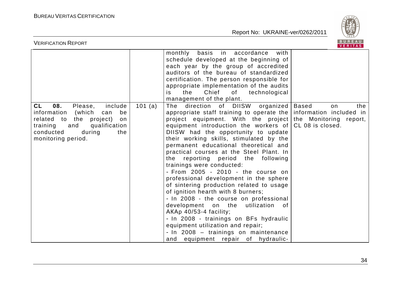

| BUREAU<br><b>VERIFICATION REPORT</b><br><b>VERITAS</b>                                                             |         |                                                                                                                                                                                                                                                                                                                                                                                                                                                                                                                                                                                                                                                                                                                                                                      |                                                      |  |
|--------------------------------------------------------------------------------------------------------------------|---------|----------------------------------------------------------------------------------------------------------------------------------------------------------------------------------------------------------------------------------------------------------------------------------------------------------------------------------------------------------------------------------------------------------------------------------------------------------------------------------------------------------------------------------------------------------------------------------------------------------------------------------------------------------------------------------------------------------------------------------------------------------------------|------------------------------------------------------|--|
| CL<br>08.<br>include<br>Please,<br>information<br>(which<br>be<br>can                                              | 101 (a) | basis in accordance<br>with<br>monthly<br>schedule developed at the beginning of<br>each year by the group of accredited<br>auditors of the bureau of standardized<br>certification. The person responsible for<br>appropriate implementation of the audits<br>of<br>Chief<br>technological<br>the<br>is<br>management of the plant.<br>The direction of DIISW organized<br>appropriate staff training to operate the                                                                                                                                                                                                                                                                                                                                                | <b>Based</b><br>the<br>on<br>information included in |  |
| related to the project)<br>on<br>training and<br>qualification<br>conducted<br>during<br>the<br>monitoring period. |         | project equipment. With the project<br>equipment introduction the workers of<br>DIISW had the opportunity to update<br>their working skills, stimulated by the<br>permanent educational theoretical and<br>practical courses at the Steel Plant. In<br>the reporting period the following<br>trainings were conducted:<br>- From 2005 - 2010 - the course on<br>professional development in the sphere<br>of sintering production related to usage<br>of ignition hearth with 8 burners;<br>- In 2008 - the course on professional<br>development on the<br>utilization<br>of<br>AKAp 40/53-4 facility;<br>- In 2008 - trainings on BFs hydraulic<br>equipment utilization and repair;<br>- In 2008 - trainings on maintenance<br>and equipment repair of hydraulic- | the Monitoring report,<br>CL 08 is closed.           |  |